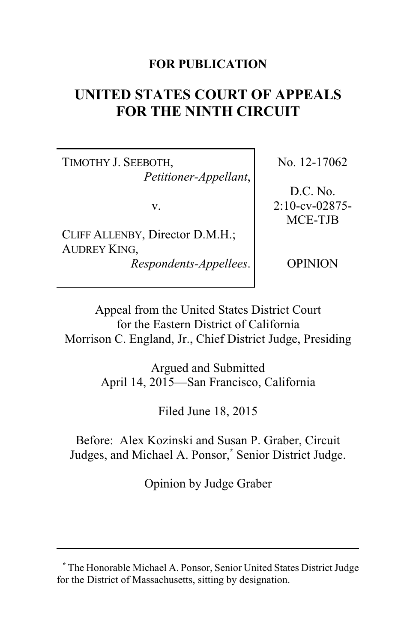### **FOR PUBLICATION**

# **UNITED STATES COURT OF APPEALS FOR THE NINTH CIRCUIT**

TIMOTHY J. SEEBOTH, *Petitioner-Appellant*,

v.

CLIFF ALLENBY, Director D.M.H.; AUDREY KING, *Respondents-Appellees*. No. 12-17062

D.C. No. 2:10-cv-02875- MCE-TJB

OPINION

Appeal from the United States District Court for the Eastern District of California Morrison C. England, Jr., Chief District Judge, Presiding

> Argued and Submitted April 14, 2015—San Francisco, California

> > Filed June 18, 2015

Before: Alex Kozinski and Susan P. Graber, Circuit Judges, and Michael A. Ponsor,**\*** Senior District Judge.

Opinion by Judge Graber

**<sup>\*</sup>** The Honorable Michael A. Ponsor, Senior United States District Judge for the District of Massachusetts, sitting by designation.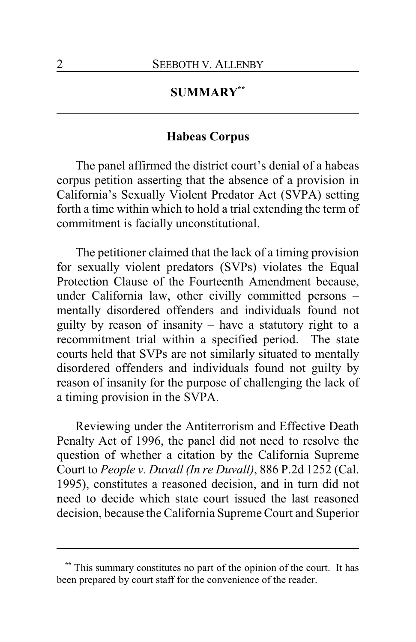# **SUMMARY\*\***

### **Habeas Corpus**

The panel affirmed the district court's denial of a habeas corpus petition asserting that the absence of a provision in California's Sexually Violent Predator Act (SVPA) setting forth a time within which to hold a trial extending the term of commitment is facially unconstitutional.

The petitioner claimed that the lack of a timing provision for sexually violent predators (SVPs) violates the Equal Protection Clause of the Fourteenth Amendment because, under California law, other civilly committed persons – mentally disordered offenders and individuals found not guilty by reason of insanity – have a statutory right to a recommitment trial within a specified period. The state courts held that SVPs are not similarly situated to mentally disordered offenders and individuals found not guilty by reason of insanity for the purpose of challenging the lack of a timing provision in the SVPA.

Reviewing under the Antiterrorism and Effective Death Penalty Act of 1996, the panel did not need to resolve the question of whether a citation by the California Supreme Court to *People v. Duvall (In re Duvall)*, 886 P.2d 1252 (Cal. 1995), constitutes a reasoned decision, and in turn did not need to decide which state court issued the last reasoned decision, because the California Supreme Court and Superior

This summary constitutes no part of the opinion of the court. It has been prepared by court staff for the convenience of the reader.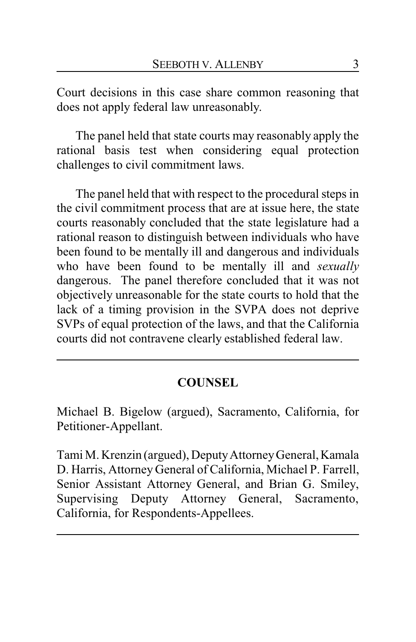Court decisions in this case share common reasoning that does not apply federal law unreasonably.

The panel held that state courts may reasonably apply the rational basis test when considering equal protection challenges to civil commitment laws.

The panel held that with respect to the procedural steps in the civil commitment process that are at issue here, the state courts reasonably concluded that the state legislature had a rational reason to distinguish between individuals who have been found to be mentally ill and dangerous and individuals who have been found to be mentally ill and *sexually* dangerous. The panel therefore concluded that it was not objectively unreasonable for the state courts to hold that the lack of a timing provision in the SVPA does not deprive SVPs of equal protection of the laws, and that the California courts did not contravene clearly established federal law.

# **COUNSEL**

Michael B. Bigelow (argued), Sacramento, California, for Petitioner-Appellant.

Tami M. Krenzin (argued), DeputyAttorneyGeneral, Kamala D. Harris, Attorney General of California, Michael P. Farrell, Senior Assistant Attorney General, and Brian G. Smiley, Supervising Deputy Attorney General, Sacramento, California, for Respondents-Appellees.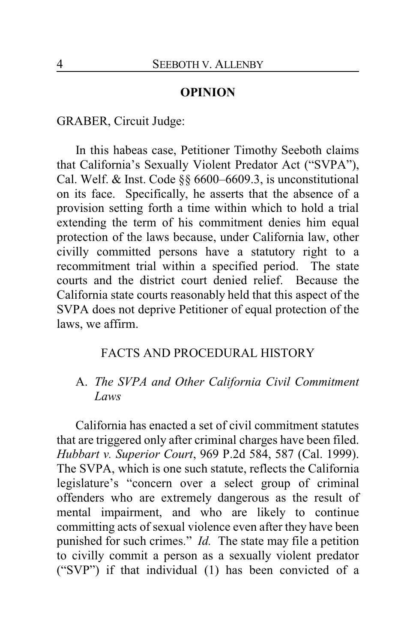#### **OPINION**

GRABER, Circuit Judge:

In this habeas case, Petitioner Timothy Seeboth claims that California's Sexually Violent Predator Act ("SVPA"), Cal. Welf. & Inst. Code §§ 6600–6609.3, is unconstitutional on its face. Specifically, he asserts that the absence of a provision setting forth a time within which to hold a trial extending the term of his commitment denies him equal protection of the laws because, under California law, other civilly committed persons have a statutory right to a recommitment trial within a specified period. The state courts and the district court denied relief. Because the California state courts reasonably held that this aspect of the SVPA does not deprive Petitioner of equal protection of the laws, we affirm.

#### FACTS AND PROCEDURAL HISTORY

## A. *The SVPA and Other California Civil Commitment Laws*

California has enacted a set of civil commitment statutes that are triggered only after criminal charges have been filed. *Hubbart v. Superior Court*, 969 P.2d 584, 587 (Cal. 1999). The SVPA, which is one such statute, reflects the California legislature's "concern over a select group of criminal offenders who are extremely dangerous as the result of mental impairment, and who are likely to continue committing acts of sexual violence even after they have been punished for such crimes." *Id.* The state may file a petition to civilly commit a person as a sexually violent predator ("SVP") if that individual (1) has been convicted of a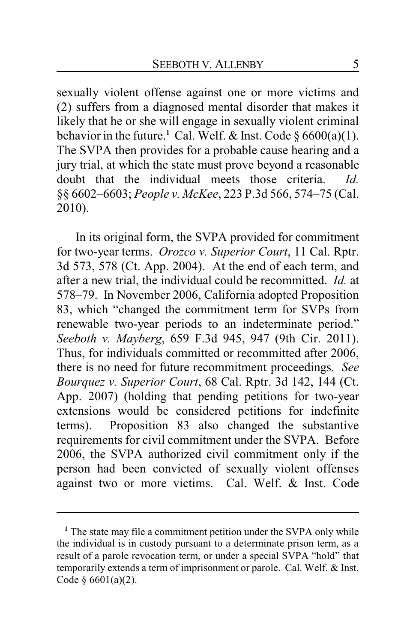sexually violent offense against one or more victims and (2) suffers from a diagnosed mental disorder that makes it likely that he or she will engage in sexually violent criminal behavior in the future.<sup>1</sup> Cal. Welf. & Inst. Code  $\S 6600(a)(1)$ . The SVPA then provides for a probable cause hearing and a jury trial, at which the state must prove beyond a reasonable doubt that the individual meets those criteria. *Id.* §§ 6602–6603; *People v. McKee*, 223 P.3d 566, 574–75 (Cal. 2010).

In its original form, the SVPA provided for commitment for two-year terms. *Orozco v. Superior Court*, 11 Cal. Rptr. 3d 573, 578 (Ct. App. 2004). At the end of each term, and after a new trial, the individual could be recommitted. *Id.* at 578–79. In November 2006, California adopted Proposition 83, which "changed the commitment term for SVPs from renewable two-year periods to an indeterminate period." *Seeboth v. Mayberg*, 659 F.3d 945, 947 (9th Cir. 2011). Thus, for individuals committed or recommitted after 2006, there is no need for future recommitment proceedings. *See Bourquez v. Superior Court*, 68 Cal. Rptr. 3d 142, 144 (Ct. App. 2007) (holding that pending petitions for two-year extensions would be considered petitions for indefinite terms). Proposition 83 also changed the substantive requirements for civil commitment under the SVPA. Before 2006, the SVPA authorized civil commitment only if the person had been convicted of sexually violent offenses against two or more victims. Cal. Welf. & Inst. Code

<sup>&</sup>lt;sup>1</sup> The state may file a commitment petition under the SVPA only while the individual is in custody pursuant to a determinate prison term, as a result of a parole revocation term, or under a special SVPA "hold" that temporarily extends a term of imprisonment or parole. Cal. Welf. & Inst. Code  $§ 6601(a)(2)$ .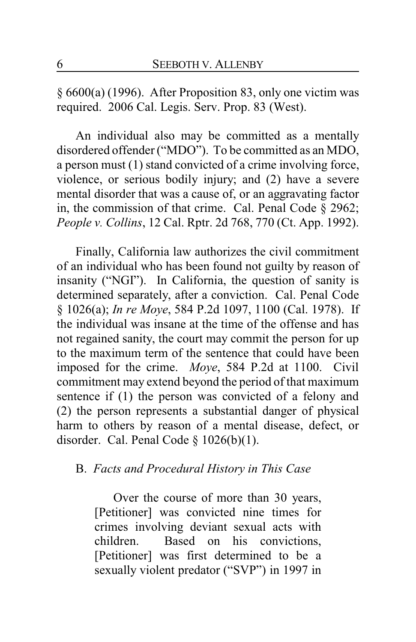§ 6600(a) (1996). After Proposition 83, only one victim was required. 2006 Cal. Legis. Serv. Prop. 83 (West).

An individual also may be committed as a mentally disordered offender ("MDO"). To be committed as an MDO, a person must (1) stand convicted of a crime involving force, violence, or serious bodily injury; and (2) have a severe mental disorder that was a cause of, or an aggravating factor in, the commission of that crime. Cal. Penal Code § 2962; *People v. Collins*, 12 Cal. Rptr. 2d 768, 770 (Ct. App. 1992).

Finally, California law authorizes the civil commitment of an individual who has been found not guilty by reason of insanity ("NGI"). In California, the question of sanity is determined separately, after a conviction. Cal. Penal Code § 1026(a); *In re Moye*, 584 P.2d 1097, 1100 (Cal. 1978). If the individual was insane at the time of the offense and has not regained sanity, the court may commit the person for up to the maximum term of the sentence that could have been imposed for the crime. *Moye*, 584 P.2d at 1100. Civil commitment may extend beyond the period of that maximum sentence if (1) the person was convicted of a felony and (2) the person represents a substantial danger of physical harm to others by reason of a mental disease, defect, or disorder. Cal. Penal Code  $\S$  1026(b)(1).

## B. *Facts and Procedural History in This Case*

Over the course of more than 30 years, [Petitioner] was convicted nine times for crimes involving deviant sexual acts with children. Based on his convictions, [Petitioner] was first determined to be a sexually violent predator ("SVP") in 1997 in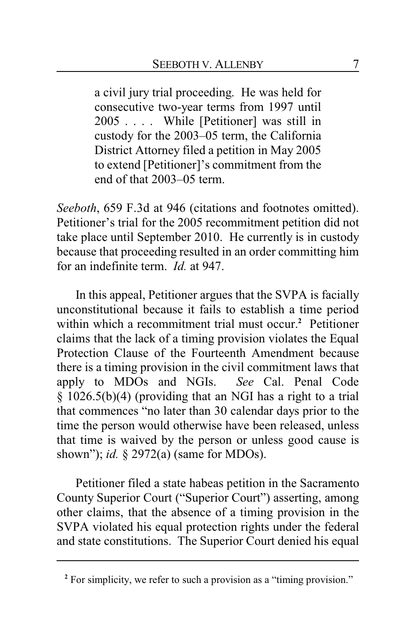a civil jury trial proceeding. He was held for consecutive two-year terms from 1997 until 2005 . . . . While [Petitioner] was still in custody for the 2003–05 term, the California District Attorney filed a petition in May 2005 to extend [Petitioner]'s commitment from the end of that 2003–05 term.

*Seeboth*, 659 F.3d at 946 (citations and footnotes omitted). Petitioner's trial for the 2005 recommitment petition did not take place until September 2010. He currently is in custody because that proceeding resulted in an order committing him for an indefinite term. *Id.* at 947.

In this appeal, Petitioner argues that the SVPA is facially unconstitutional because it fails to establish a time period within which a recommitment trial must occur.**<sup>2</sup>** Petitioner claims that the lack of a timing provision violates the Equal Protection Clause of the Fourteenth Amendment because there is a timing provision in the civil commitment laws that apply to MDOs and NGIs. *See* Cal. Penal Code § 1026.5(b)(4) (providing that an NGI has a right to a trial that commences "no later than 30 calendar days prior to the time the person would otherwise have been released, unless that time is waived by the person or unless good cause is shown"); *id.* § 2972(a) (same for MDOs).

Petitioner filed a state habeas petition in the Sacramento County Superior Court ("Superior Court") asserting, among other claims, that the absence of a timing provision in the SVPA violated his equal protection rights under the federal and state constitutions. The Superior Court denied his equal

<sup>&</sup>lt;sup>2</sup> For simplicity, we refer to such a provision as a "timing provision."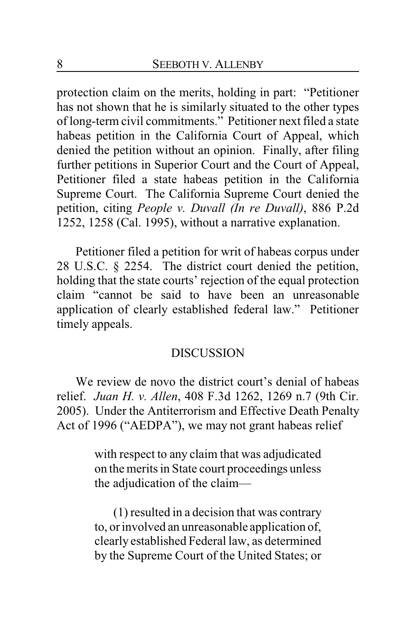protection claim on the merits, holding in part: "Petitioner has not shown that he is similarly situated to the other types of long-term civil commitments." Petitioner next filed a state habeas petition in the California Court of Appeal, which denied the petition without an opinion. Finally, after filing further petitions in Superior Court and the Court of Appeal, Petitioner filed a state habeas petition in the California Supreme Court. The California Supreme Court denied the petition, citing *People v. Duvall (In re Duvall)*, 886 P.2d 1252, 1258 (Cal. 1995), without a narrative explanation.

Petitioner filed a petition for writ of habeas corpus under 28 U.S.C. § 2254. The district court denied the petition, holding that the state courts' rejection of the equal protection claim "cannot be said to have been an unreasonable application of clearly established federal law." Petitioner timely appeals.

#### **DISCUSSION**

We review de novo the district court's denial of habeas relief. *Juan H. v. Allen*, 408 F.3d 1262, 1269 n.7 (9th Cir. 2005). Under the Antiterrorism and Effective Death Penalty Act of 1996 ("AEDPA"), we may not grant habeas relief

> with respect to any claim that was adjudicated on the merits in State court proceedings unless the adjudication of the claim—

> (1) resulted in a decision that was contrary to, or involved an unreasonable application of, clearly established Federal law, as determined by the Supreme Court of the United States; or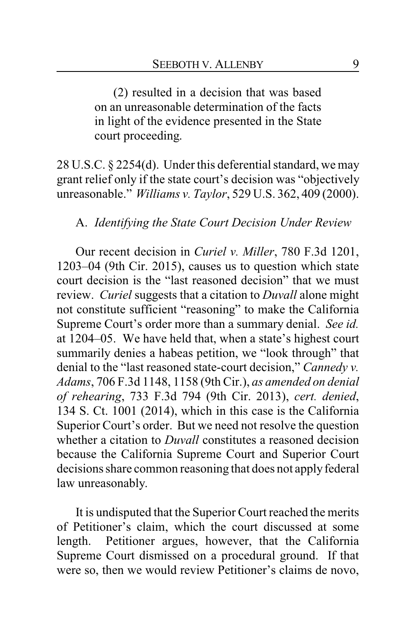(2) resulted in a decision that was based on an unreasonable determination of the facts in light of the evidence presented in the State court proceeding.

28 U.S.C. § 2254(d). Under this deferential standard, we may grant relief only if the state court's decision was "objectively unreasonable." *Williams v. Taylor*, 529 U.S. 362, 409 (2000).

#### A. *Identifying the State Court Decision Under Review*

Our recent decision in *Curiel v. Miller*, 780 F.3d 1201, 1203–04 (9th Cir. 2015), causes us to question which state court decision is the "last reasoned decision" that we must review. *Curiel* suggests that a citation to *Duvall* alone might not constitute sufficient "reasoning" to make the California Supreme Court's order more than a summary denial. *See id.* at 1204–05. We have held that, when a state's highest court summarily denies a habeas petition, we "look through" that denial to the "last reasoned state-court decision," *Cannedy v. Adams*, 706 F.3d 1148, 1158 (9th Cir.), *as amended on denial of rehearing*, 733 F.3d 794 (9th Cir. 2013), *cert. denied*, 134 S. Ct. 1001 (2014), which in this case is the California Superior Court's order. But we need not resolve the question whether a citation to *Duvall* constitutes a reasoned decision because the California Supreme Court and Superior Court decisions share common reasoning that does not apply federal law unreasonably.

It is undisputed that the Superior Court reached the merits of Petitioner's claim, which the court discussed at some length. Petitioner argues, however, that the California Supreme Court dismissed on a procedural ground. If that were so, then we would review Petitioner's claims de novo,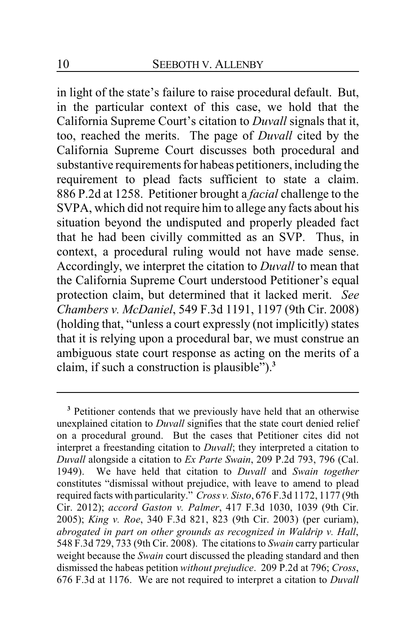in light of the state's failure to raise procedural default. But, in the particular context of this case, we hold that the California Supreme Court's citation to *Duvall* signals that it, too, reached the merits. The page of *Duvall* cited by the California Supreme Court discusses both procedural and substantive requirements for habeas petitioners, including the requirement to plead facts sufficient to state a claim. 886 P.2d at 1258. Petitioner brought a *facial* challenge to the SVPA, which did not require him to allege any facts about his situation beyond the undisputed and properly pleaded fact that he had been civilly committed as an SVP. Thus, in context, a procedural ruling would not have made sense. Accordingly, we interpret the citation to *Duvall* to mean that the California Supreme Court understood Petitioner's equal protection claim, but determined that it lacked merit. *See Chambers v. McDaniel*, 549 F.3d 1191, 1197 (9th Cir. 2008) (holding that, "unless a court expressly (not implicitly) states that it is relying upon a procedural bar, we must construe an ambiguous state court response as acting on the merits of a claim, if such a construction is plausible").**<sup>3</sup>**

**<sup>3</sup>** Petitioner contends that we previously have held that an otherwise unexplained citation to *Duvall* signifies that the state court denied relief on a procedural ground. But the cases that Petitioner cites did not interpret a freestanding citation to *Duvall*; they interpreted a citation to *Duvall* alongside a citation to *Ex Parte Swain*, 209 P.2d 793, 796 (Cal. 1949). We have held that citation to *Duvall* and *Swain together* constitutes "dismissal without prejudice, with leave to amend to plead required facts with particularity." *Cross v. Sisto*, 676 F.3d 1172, 1177 (9th Cir. 2012); *accord Gaston v. Palmer*, 417 F.3d 1030, 1039 (9th Cir. 2005); *King v. Roe*, 340 F.3d 821, 823 (9th Cir. 2003) (per curiam), *abrogated in part on other grounds as recognized in Waldrip v. Hall*, 548 F.3d 729, 733 (9th Cir. 2008). The citations to *Swain* carry particular weight because the *Swain* court discussed the pleading standard and then dismissed the habeas petition *without prejudice*. 209 P.2d at 796; *Cross*, 676 F.3d at 1176. We are not required to interpret a citation to *Duvall*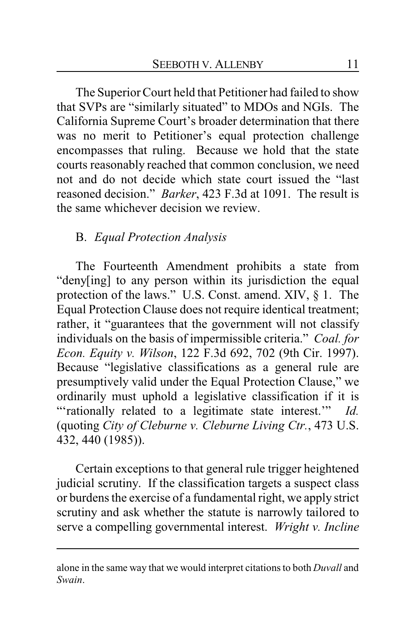The Superior Court held that Petitioner had failed to show that SVPs are "similarly situated" to MDOs and NGIs. The California Supreme Court's broader determination that there was no merit to Petitioner's equal protection challenge encompasses that ruling. Because we hold that the state courts reasonably reached that common conclusion, we need not and do not decide which state court issued the "last reasoned decision." *Barker*, 423 F.3d at 1091. The result is the same whichever decision we review.

# B. *Equal Protection Analysis*

The Fourteenth Amendment prohibits a state from "deny[ing] to any person within its jurisdiction the equal protection of the laws." U.S. Const. amend. XIV, § 1. The Equal Protection Clause does not require identical treatment; rather, it "guarantees that the government will not classify individuals on the basis of impermissible criteria." *Coal. for Econ. Equity v. Wilson*, 122 F.3d 692, 702 (9th Cir. 1997). Because "legislative classifications as a general rule are presumptively valid under the Equal Protection Clause," we ordinarily must uphold a legislative classification if it is "'rationally related to a legitimate state interest.'" *Id.* (quoting *City of Cleburne v. Cleburne Living Ctr.*, 473 U.S. 432, 440 (1985)).

Certain exceptions to that general rule trigger heightened judicial scrutiny. If the classification targets a suspect class or burdens the exercise of a fundamental right, we apply strict scrutiny and ask whether the statute is narrowly tailored to serve a compelling governmental interest. *Wright v. Incline*

alone in the same way that we would interpret citations to both *Duvall* and *Swain*.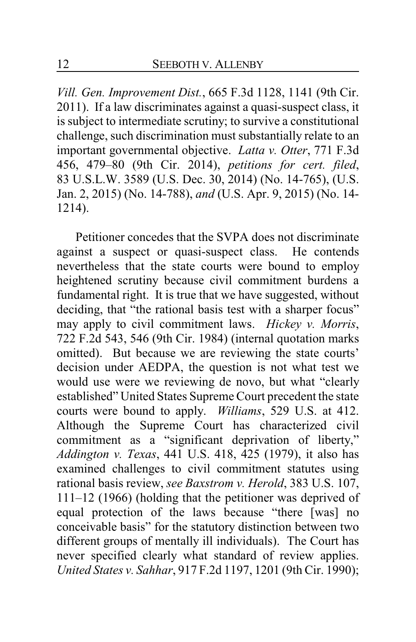*Vill. Gen. Improvement Dist.*, 665 F.3d 1128, 1141 (9th Cir. 2011). If a law discriminates against a quasi-suspect class, it is subject to intermediate scrutiny; to survive a constitutional challenge, such discrimination must substantially relate to an important governmental objective. *Latta v. Otter*, 771 F.3d 456, 479–80 (9th Cir. 2014), *petitions for cert. filed*, 83 U.S.L.W. 3589 (U.S. Dec. 30, 2014) (No. 14-765), (U.S. Jan. 2, 2015) (No. 14-788), *and* (U.S. Apr. 9, 2015) (No. 14- 1214).

Petitioner concedes that the SVPA does not discriminate against a suspect or quasi-suspect class. He contends nevertheless that the state courts were bound to employ heightened scrutiny because civil commitment burdens a fundamental right. It is true that we have suggested, without deciding, that "the rational basis test with a sharper focus" may apply to civil commitment laws. *Hickey v. Morris*, 722 F.2d 543, 546 (9th Cir. 1984) (internal quotation marks omitted). But because we are reviewing the state courts' decision under AEDPA, the question is not what test we would use were we reviewing de novo, but what "clearly established" United States Supreme Court precedent the state courts were bound to apply. *Williams*, 529 U.S. at 412. Although the Supreme Court has characterized civil commitment as a "significant deprivation of liberty," *Addington v. Texas*, 441 U.S. 418, 425 (1979), it also has examined challenges to civil commitment statutes using rational basis review, *see Baxstrom v. Herold*, 383 U.S. 107, 111–12 (1966) (holding that the petitioner was deprived of equal protection of the laws because "there [was] no conceivable basis" for the statutory distinction between two different groups of mentally ill individuals). The Court has never specified clearly what standard of review applies. *United States v. Sahhar*, 917 F.2d 1197, 1201 (9th Cir. 1990);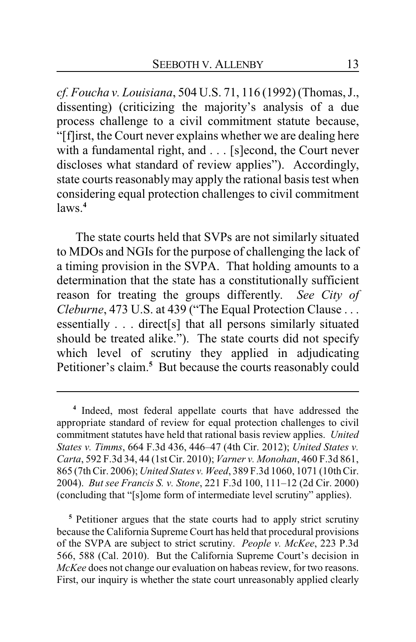*cf. Foucha v. Louisiana*, 504 U.S. 71, 116 (1992) (Thomas, J., dissenting) (criticizing the majority's analysis of a due process challenge to a civil commitment statute because, "[f]irst, the Court never explains whether we are dealing here with a fundamental right, and . . . [s]econd, the Court never discloses what standard of review applies"). Accordingly, state courts reasonablymay apply the rational basis test when considering equal protection challenges to civil commitment  $l$ aws<sup>4</sup>

The state courts held that SVPs are not similarly situated to MDOs and NGIs for the purpose of challenging the lack of a timing provision in the SVPA. That holding amounts to a determination that the state has a constitutionally sufficient reason for treating the groups differently. *See City of Cleburne*, 473 U.S. at 439 ("The Equal Protection Clause . . . essentially . . . direct[s] that all persons similarly situated should be treated alike."). The state courts did not specify which level of scrutiny they applied in adjudicating Petitioner's claim.**<sup>5</sup>** But because the courts reasonably could

**<sup>5</sup>** Petitioner argues that the state courts had to apply strict scrutiny because the California Supreme Court has held that procedural provisions of the SVPA are subject to strict scrutiny. *People v. McKee*, 223 P.3d 566, 588 (Cal. 2010). But the California Supreme Court's decision in *McKee* does not change our evaluation on habeas review, for two reasons. First, our inquiry is whether the state court unreasonably applied clearly

**<sup>4</sup>** Indeed, most federal appellate courts that have addressed the appropriate standard of review for equal protection challenges to civil commitment statutes have held that rational basis review applies. *United States v. Timms*, 664 F.3d 436, 446–47 (4th Cir. 2012); *United States v. Carta*, 592 F.3d 34, 44 (1st Cir. 2010); *Varner v. Monohan*, 460 F.3d 861, 865 (7thCir. 2006); *United States v. Weed*, 389 F.3d 1060, 1071 (10thCir. 2004). *But see Francis S. v. Stone*, 221 F.3d 100, 111–12 (2d Cir. 2000) (concluding that "[s]ome form of intermediate level scrutiny" applies).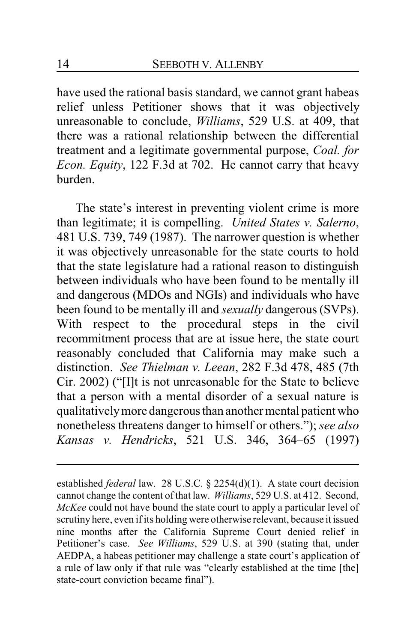have used the rational basis standard, we cannot grant habeas relief unless Petitioner shows that it was objectively unreasonable to conclude, *Williams*, 529 U.S. at 409, that there was a rational relationship between the differential treatment and a legitimate governmental purpose, *Coal. for Econ. Equity*, 122 F.3d at 702. He cannot carry that heavy burden.

The state's interest in preventing violent crime is more than legitimate; it is compelling. *United States v. Salerno*, 481 U.S. 739, 749 (1987). The narrower question is whether it was objectively unreasonable for the state courts to hold that the state legislature had a rational reason to distinguish between individuals who have been found to be mentally ill and dangerous (MDOs and NGIs) and individuals who have been found to be mentally ill and *sexually* dangerous (SVPs). With respect to the procedural steps in the civil recommitment process that are at issue here, the state court reasonably concluded that California may make such a distinction. *See Thielman v. Leean*, 282 F.3d 478, 485 (7th Cir. 2002) ("[I]t is not unreasonable for the State to believe that a person with a mental disorder of a sexual nature is qualitativelymore dangerousthan another mental patient who nonetheless threatens danger to himself or others."); *see also Kansas v. Hendricks*, 521 U.S. 346, 364–65 (1997)

established *federal* law. 28 U.S.C. § 2254(d)(1). A state court decision cannot change the content ofthat law. *Williams*, 529 U.S. at 412. Second, *McKee* could not have bound the state court to apply a particular level of scrutiny here, even ifits holding were otherwise relevant, because it issued nine months after the California Supreme Court denied relief in Petitioner's case. *See Williams*, 529 U.S. at 390 (stating that, under AEDPA, a habeas petitioner may challenge a state court's application of a rule of law only if that rule was "clearly established at the time [the] state-court conviction became final").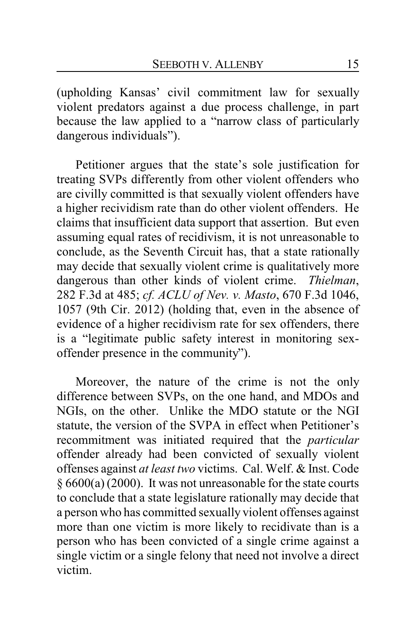(upholding Kansas' civil commitment law for sexually violent predators against a due process challenge, in part because the law applied to a "narrow class of particularly dangerous individuals").

Petitioner argues that the state's sole justification for treating SVPs differently from other violent offenders who are civilly committed is that sexually violent offenders have a higher recividism rate than do other violent offenders. He claims that insufficient data support that assertion. But even assuming equal rates of recidivism, it is not unreasonable to conclude, as the Seventh Circuit has, that a state rationally may decide that sexually violent crime is qualitatively more dangerous than other kinds of violent crime. *Thielman*, 282 F.3d at 485; *cf. ACLU of Nev. v. Masto*, 670 F.3d 1046, 1057 (9th Cir. 2012) (holding that, even in the absence of evidence of a higher recidivism rate for sex offenders, there is a "legitimate public safety interest in monitoring sexoffender presence in the community").

Moreover, the nature of the crime is not the only difference between SVPs, on the one hand, and MDOs and NGIs, on the other. Unlike the MDO statute or the NGI statute, the version of the SVPA in effect when Petitioner's recommitment was initiated required that the *particular* offender already had been convicted of sexually violent offenses against *at least two* victims. Cal. Welf. & Inst. Code § 6600(a) (2000). It was not unreasonable for the state courts to conclude that a state legislature rationally may decide that a person who has committed sexually violent offenses against more than one victim is more likely to recidivate than is a person who has been convicted of a single crime against a single victim or a single felony that need not involve a direct victim.